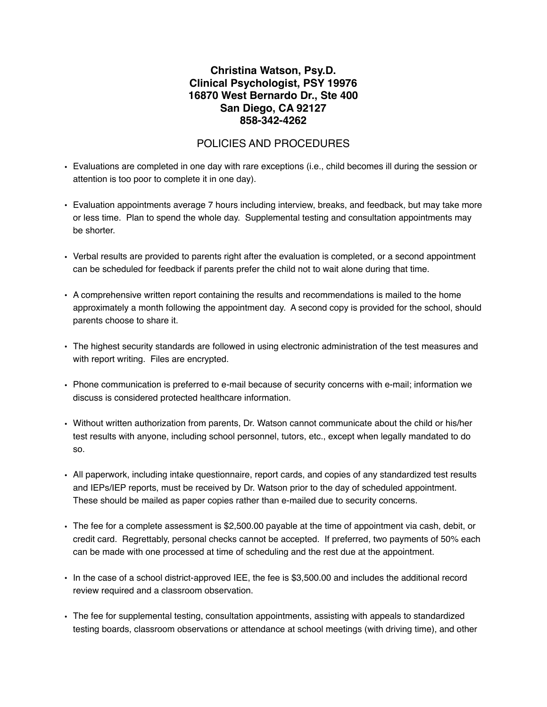## **Christina Watson, Psy.D. Clinical Psychologist, PSY 19976 16870 West Bernardo Dr., Ste 400 San Diego, CA 92127 858-342-4262**

## POLICIES AND PROCEDURES

- Evaluations are completed in one day with rare exceptions (i.e., child becomes ill during the session or attention is too poor to complete it in one day).
- Evaluation appointments average 7 hours including interview, breaks, and feedback, but may take more or less time. Plan to spend the whole day. Supplemental testing and consultation appointments may be shorter.
- Verbal results are provided to parents right after the evaluation is completed, or a second appointment can be scheduled for feedback if parents prefer the child not to wait alone during that time.
- A comprehensive written report containing the results and recommendations is mailed to the home approximately a month following the appointment day. A second copy is provided for the school, should parents choose to share it.
- The highest security standards are followed in using electronic administration of the test measures and with report writing. Files are encrypted.
- Phone communication is preferred to e-mail because of security concerns with e-mail; information we discuss is considered protected healthcare information.
- Without written authorization from parents, Dr. Watson cannot communicate about the child or his/her test results with anyone, including school personnel, tutors, etc., except when legally mandated to do so.
- All paperwork, including intake questionnaire, report cards, and copies of any standardized test results and IEPs/IEP reports, must be received by Dr. Watson prior to the day of scheduled appointment. These should be mailed as paper copies rather than e-mailed due to security concerns.
- The fee for a complete assessment is \$2,500.00 payable at the time of appointment via cash, debit, or credit card. Regrettably, personal checks cannot be accepted. If preferred, two payments of 50% each can be made with one processed at time of scheduling and the rest due at the appointment.
- In the case of a school district-approved IEE, the fee is \$3,500.00 and includes the additional record review required and a classroom observation.
- The fee for supplemental testing, consultation appointments, assisting with appeals to standardized testing boards, classroom observations or attendance at school meetings (with driving time), and other